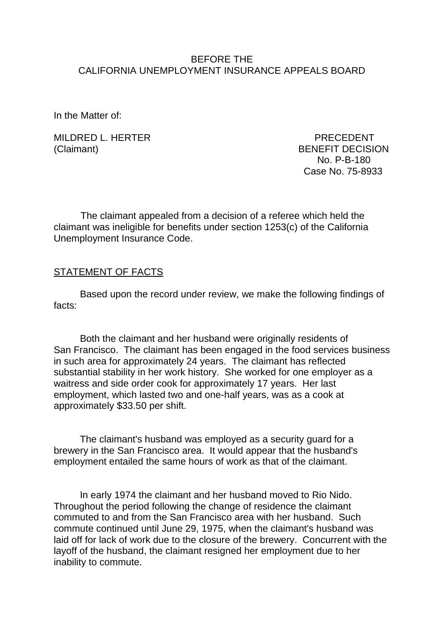#### BEFORE THE CALIFORNIA UNEMPLOYMENT INSURANCE APPEALS BOARD

In the Matter of:

MILDRED L. HERTER PRECEDENT (Claimant) BENEFIT DECISION

 No. P-B-180 Case No. 75-8933

The claimant appealed from a decision of a referee which held the claimant was ineligible for benefits under section 1253(c) of the California Unemployment Insurance Code.

#### **STATEMENT OF FACTS**

Based upon the record under review, we make the following findings of facts:

Both the claimant and her husband were originally residents of San Francisco. The claimant has been engaged in the food services business in such area for approximately 24 years. The claimant has reflected substantial stability in her work history. She worked for one employer as a waitress and side order cook for approximately 17 years. Her last employment, which lasted two and one-half years, was as a cook at approximately \$33.50 per shift.

The claimant's husband was employed as a security guard for a brewery in the San Francisco area. It would appear that the husband's employment entailed the same hours of work as that of the claimant.

In early 1974 the claimant and her husband moved to Rio Nido. Throughout the period following the change of residence the claimant commuted to and from the San Francisco area with her husband. Such commute continued until June 29, 1975, when the claimant's husband was laid off for lack of work due to the closure of the brewery. Concurrent with the layoff of the husband, the claimant resigned her employment due to her inability to commute.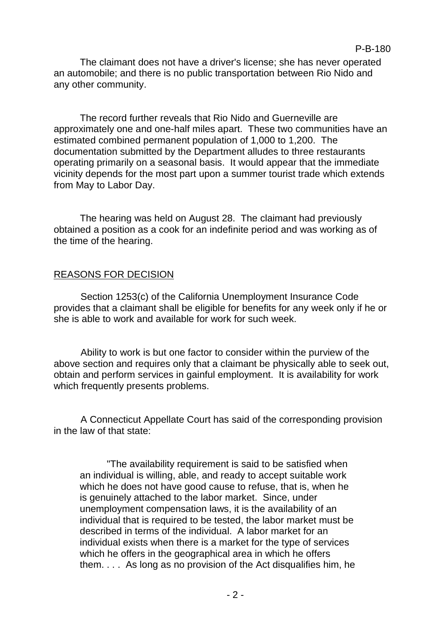The claimant does not have a driver's license; she has never operated an automobile; and there is no public transportation between Rio Nido and any other community.

The record further reveals that Rio Nido and Guerneville are approximately one and one-half miles apart. These two communities have an estimated combined permanent population of 1,000 to 1,200. The documentation submitted by the Department alludes to three restaurants operating primarily on a seasonal basis. It would appear that the immediate vicinity depends for the most part upon a summer tourist trade which extends from May to Labor Day.

The hearing was held on August 28. The claimant had previously obtained a position as a cook for an indefinite period and was working as of the time of the hearing.

# REASONS FOR DECISION

Section 1253(c) of the California Unemployment Insurance Code provides that a claimant shall be eligible for benefits for any week only if he or she is able to work and available for work for such week.

Ability to work is but one factor to consider within the purview of the above section and requires only that a claimant be physically able to seek out, obtain and perform services in gainful employment. It is availability for work which frequently presents problems.

A Connecticut Appellate Court has said of the corresponding provision in the law of that state:

"The availability requirement is said to be satisfied when an individual is willing, able, and ready to accept suitable work which he does not have good cause to refuse, that is, when he is genuinely attached to the labor market. Since, under unemployment compensation laws, it is the availability of an individual that is required to be tested, the labor market must be described in terms of the individual. A labor market for an individual exists when there is a market for the type of services which he offers in the geographical area in which he offers them. . . . As long as no provision of the Act disqualifies him, he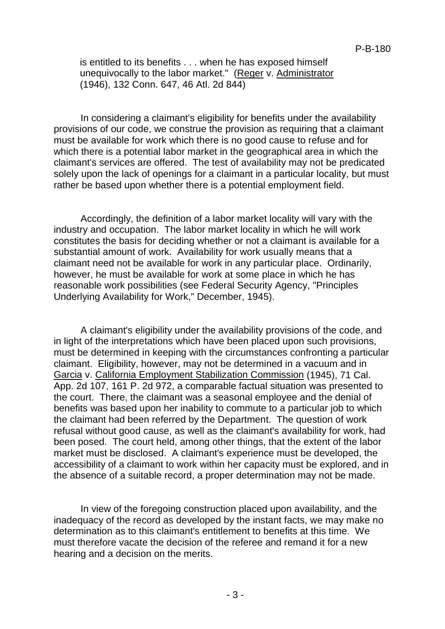is entitled to its benefits . . . when he has exposed himself unequivocally to the labor market." (Reger v. Administrator (1946), 132 Conn. 647, 46 Atl. 2d 844)

In considering a claimant's eligibility for benefits under the availability provisions of our code, we construe the provision as requiring that a claimant must be available for work which there is no good cause to refuse and for which there is a potential labor market in the geographical area in which the claimant's services are offered. The test of availability may not be predicated solely upon the lack of openings for a claimant in a particular locality, but must rather be based upon whether there is a potential employment field.

Accordingly, the definition of a labor market locality will vary with the industry and occupation. The labor market locality in which he will work constitutes the basis for deciding whether or not a claimant is available for a substantial amount of work. Availability for work usually means that a claimant need not be available for work in any particular place. Ordinarily, however, he must be available for work at some place in which he has reasonable work possibilities (see Federal Security Agency, "Principles Underlying Availability for Work," December, 1945).

A claimant's eligibility under the availability provisions of the code, and in light of the interpretations which have been placed upon such provisions, must be determined in keeping with the circumstances confronting a particular claimant. Eligibility, however, may not be determined in a vacuum and in Garcia v. California Employment Stabilization Commission (1945), 71 Cal. App. 2d 107, 161 P. 2d 972, a comparable factual situation was presented to the court. There, the claimant was a seasonal employee and the denial of benefits was based upon her inability to commute to a particular job to which the claimant had been referred by the Department. The question of work refusal without good cause, as well as the claimant's availability for work, had been posed. The court held, among other things, that the extent of the labor market must be disclosed. A claimant's experience must be developed, the accessibility of a claimant to work within her capacity must be explored, and in the absence of a suitable record, a proper determination may not be made.

In view of the foregoing construction placed upon availability, and the inadequacy of the record as developed by the instant facts, we may make no determination as to this claimant's entitlement to benefits at this time. We must therefore vacate the decision of the referee and remand it for a new hearing and a decision on the merits.